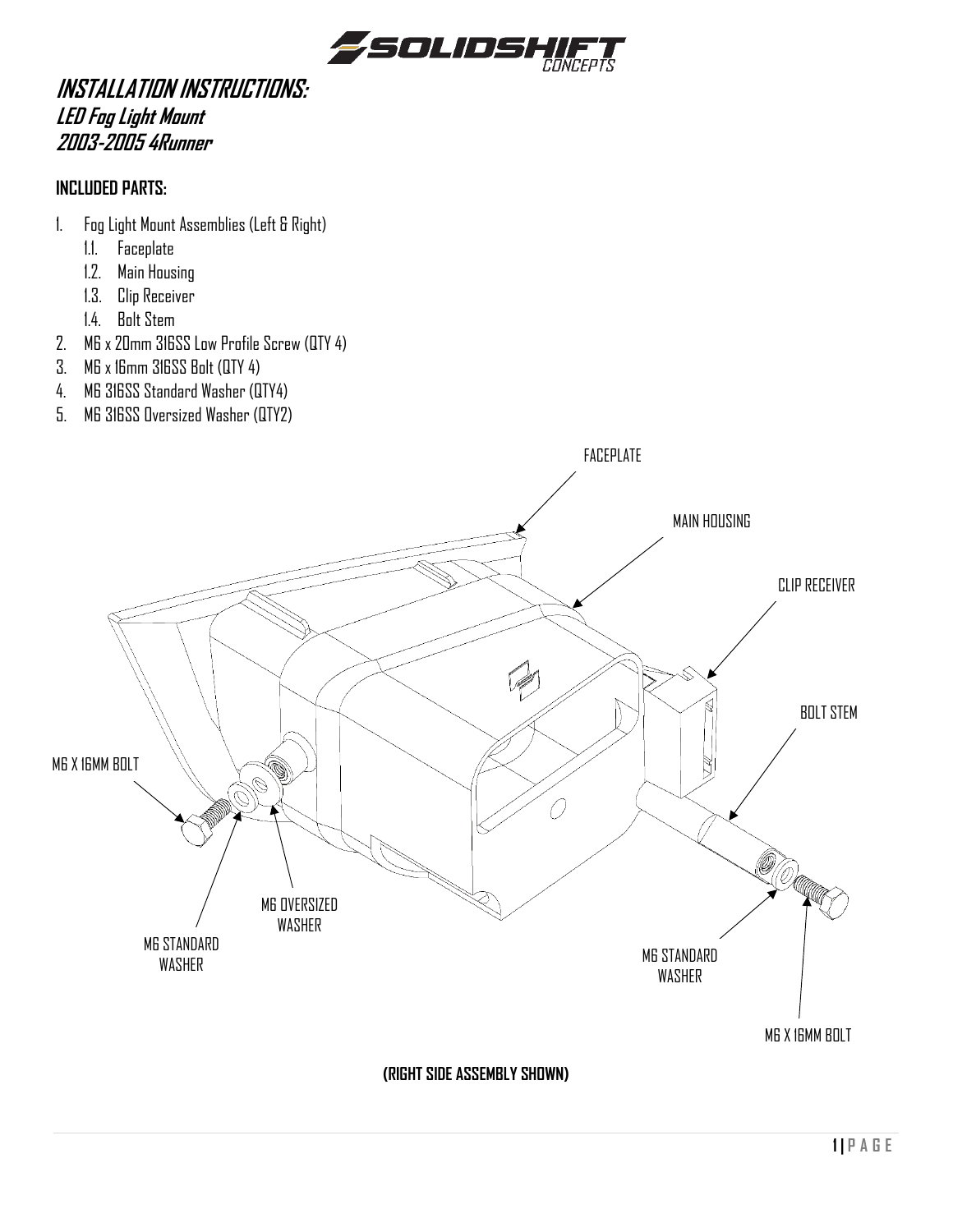

## **INSTALLATION INSTRUCTIONS: LED Fog Light Mount 2003-2005 4Runner**

## **INCLUDED PARTS:**

- 1. Fog Light Mount Assemblies (Left & Right)
	- 1.1. Faceplate
	- 1.2. Main Housing
	- 1.3. Clip Receiver
	- 1.4. Bolt Stem
- 2. M6 x 20mm 316SS Low Profile Screw (QTY 4)
- 3. M6 x 16mm 316SS Bolt (QTY 4)
- 4. M6 316SS Standard Washer (QTY4)
- 5. M6 316SS Oversized Washer (QTY2)

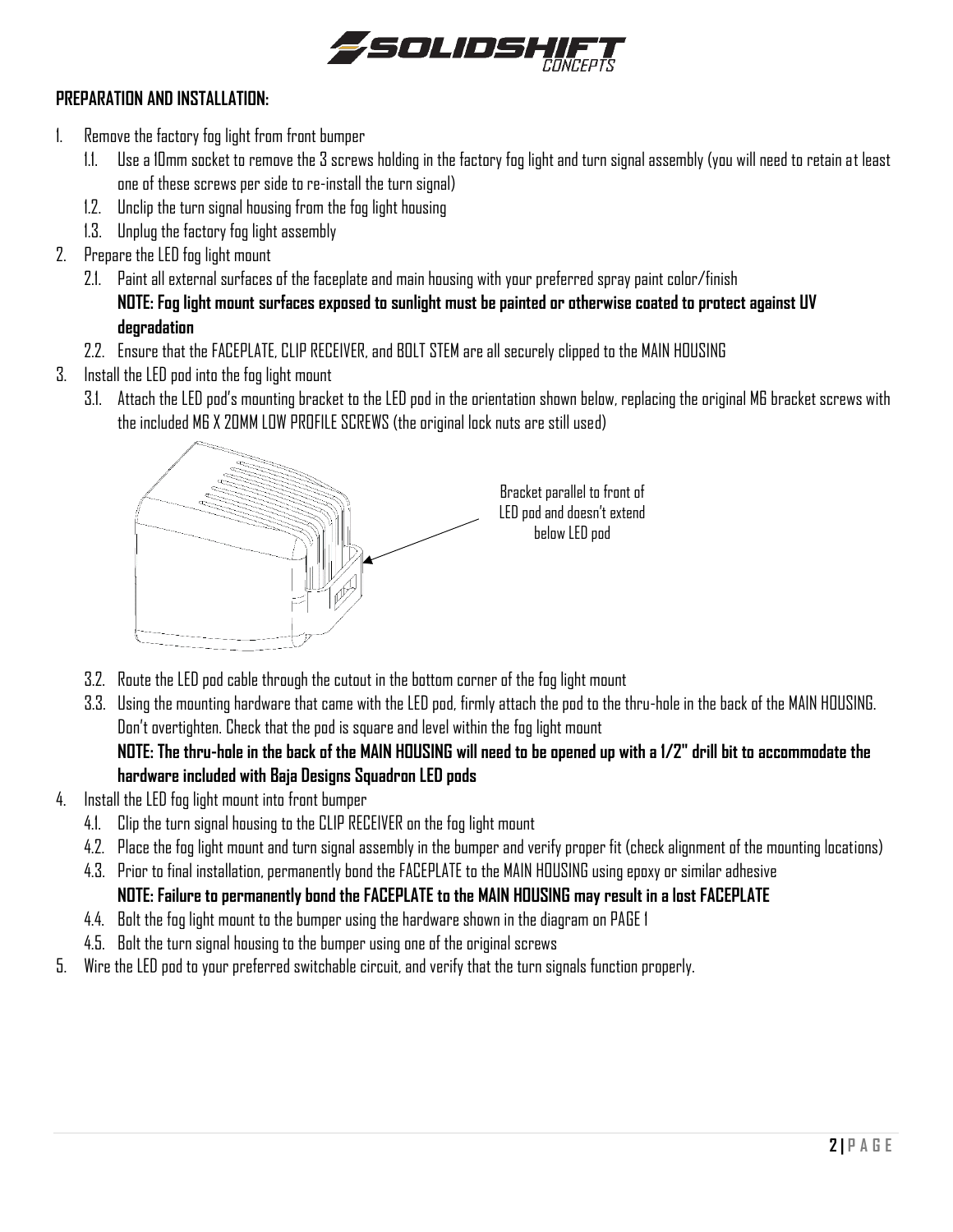

## **PREPARATION AND INSTALLATION:**

- 1. Remove the factory fog light from front bumper
	- 1.1. Use a 10mm socket to remove the 3 screws holding in the factory fog light and turn signal assembly (you will need to retain at least one of these screws per side to re-install the turn signal)
	- 1.2. Unclip the turn signal housing from the fog light housing
	- 1.3. Unplug the factory fog light assembly
- 2. Prepare the LED fog light mount
	- 2.1. Paint all external surfaces of the faceplate and main housing with your preferred spray paint color/finish **NOTE: Fog light mount surfaces exposed to sunlight must be painted or otherwise coated to protect against UV degradation**
	- 2.2. Ensure that the FACEPLATE, CLIP RECEIVER, and BOLT STEM are all securely clipped to the MAIN HOUSING
- 3. Install the LED pod into the fog light mount
	- 3.1. Attach the LED pod's mounting bracket to the LED pod in the orientation shown below, replacing the original M6 bracket screws with the included M6 X 20MM LOW PROFILE SCREWS (the original lock nuts are still used)



- 3.2. Route the LED pod cable through the cutout in the bottom corner of the fog light mount
- 3.3. Using the mounting hardware that came with the LED pod, firmly attach the pod to the thru-hole in the back of the MAIN HOUSING. Don't overtighten. Check that the pod is square and level within the fog light mount **NOTE: The thru-hole in the back of the MAIN HOUSING will need to be opened up with a 1/2" drill bit to accommodate the hardware included with Baja Designs Squadron LED pods**
- 4. Install the LED fog light mount into front bumper
	- 4.1. Clip the turn signal housing to the CLIP RECEIVER on the fog light mount
	- 4.2. Place the fog light mount and turn signal assembly in the bumper and verify proper fit (check alignment of the mounting locations)
	- 4.3. Prior to final installation, permanently bond the FACEPLATE to the MAIN HOUSING using epoxy or similar adhesive **NOTE: Failure to permanently bond the FACEPLATE to the MAIN HOUSING may result in a lost FACEPLATE**
	- 4.4. Bolt the fog light mount to the bumper using the hardware shown in the diagram on PAGE 1
	- 4.5. Bolt the turn signal housing to the bumper using one of the original screws
- 5. Wire the LED pod to your preferred switchable circuit, and verify that the turn signals function properly.